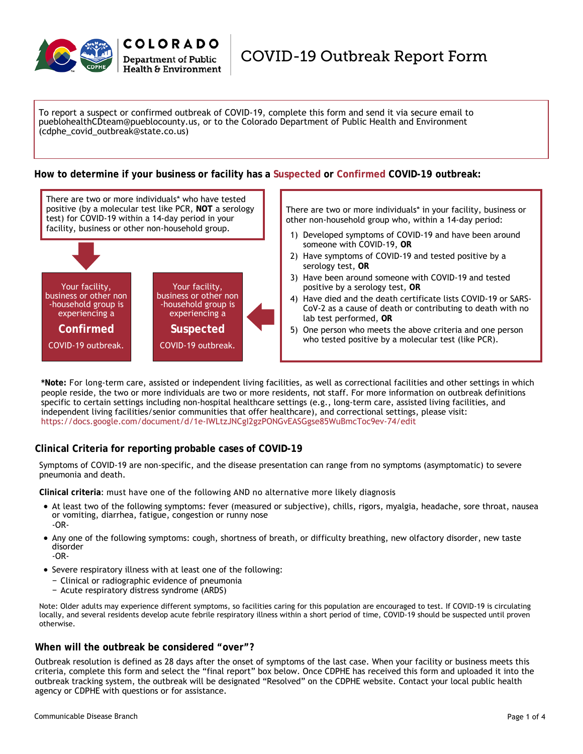

To report a suspect or confirmed outbreak of COVID-19, complete this form and send it via secure email to [pueblohealthCDteam@pueblocounty.us](mailto:pueblohealthCDteam@pueblocounty.us), or to the Colorado Department of Public Health and Environment (cdphe\_covid\_outbreak@state.co.us)

### **How to determine if your business or facility has a Suspected or Confirmed COVID-19 outbreak:**



**\*Note:** For long-term care, assisted or independent living facilities, as well as correctional facilities and other settings in which people reside, the two or more individuals are two or more residents, *not* staff. For more information on outbreak definitions specific to certain settings including non-hospital healthcare settings (e.g., long-term care, assisted living facilities, and independent living facilities/senior communities that offer healthcare), and correctional settings, please visit: https://docs.google.com/document/d/1e-IWLtzJNCgI2gzPONGvEASGgse85WuBmcToc9ev-74/edit

### **Clinical Criteria for reporting probable cases of COVID-19**

Symptoms of COVID-19 are non-specific, and the disease presentation can range from no symptoms (asymptomatic) to severe pneumonia and death.

**Clinical criteria**: must have one of the following AND no alternative more likely diagnosis

- At least two of the following symptoms: fever (measured or subjective), chills, rigors, myalgia, headache, sore throat, nausea or vomiting, diarrhea, fatigue, congestion or runny nose -OR-
- Any one of the following symptoms: cough, shortness of breath, or difficulty breathing, new olfactory disorder, new taste disorder
	- -OR-
- Severe respiratory illness with at least one of the following:
	- − Clinical or radiographic evidence of pneumonia
	- − Acute respiratory distress syndrome (ARDS)

Note: Older adults may experience different symptoms, so facilities caring for this population are encouraged to test. If COVID-19 is circulating locally, and several residents develop acute febrile respiratory illness within a short period of time, COVID-19 should be suspected until proven otherwise.

### **When will the outbreak be considered "over"?**

Outbreak resolution is defined as 28 days after the onset of symptoms of the last case. When your facility or business meets this criteria, complete this form and select the "final report" box below. Once CDPHE has received this form and uploaded it into the outbreak tracking system, the outbreak will be designated "Resolved" on the CDPHE website. Contact your local public health agency or CDPHE with questions or for assistance.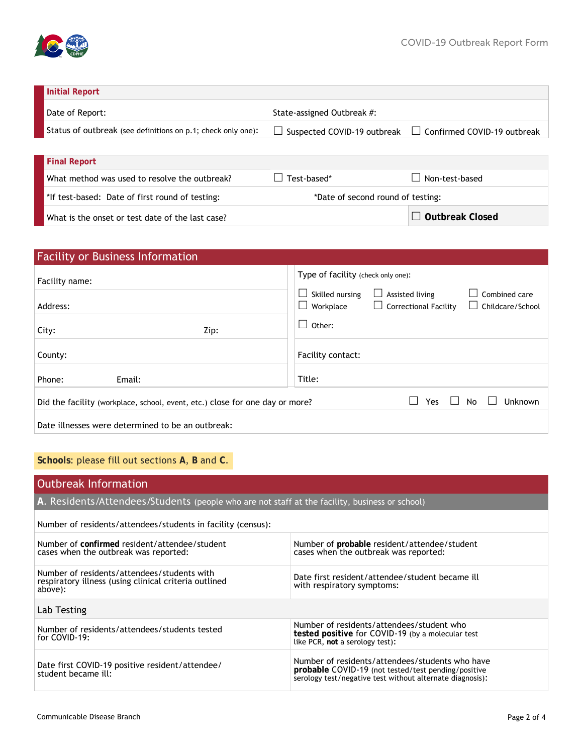

## **Initial Report**

| Date of Report:                                              | State-assigned Outbreak #: |                                                                       |
|--------------------------------------------------------------|----------------------------|-----------------------------------------------------------------------|
| Status of outbreak (see definitions on p.1; check only one): |                            | $\Box$ Suspected COVID-19 outbreak $\Box$ Confirmed COVID-19 outbreak |

| <b>Final Report</b>                              |                                   |                 |
|--------------------------------------------------|-----------------------------------|-----------------|
| What method was used to resolve the outbreak?    | Test-based*                       | Non-test-based  |
| *If test-based: Date of first round of testing:  | *Date of second round of testing: |                 |
| What is the onset or test date of the last case? |                                   | Outbreak Closed |

| <b>Facility or Business Information</b>                                      |                                                                                                                                               |  |
|------------------------------------------------------------------------------|-----------------------------------------------------------------------------------------------------------------------------------------------|--|
| Facility name:                                                               | Type of facility (check only one):                                                                                                            |  |
| Address:                                                                     | Combined care<br>Skilled nursing<br>Assisted living<br>$\Box$ Childcare/School<br>$\Box$ Correctional Facility<br>Workplace<br>$\blacksquare$ |  |
| City:<br>Zip:                                                                | $\Box$<br>Other:                                                                                                                              |  |
| County:                                                                      | Facility contact:                                                                                                                             |  |
| Phone:<br>Email:                                                             | Title:                                                                                                                                        |  |
| Did the facility (workplace, school, event, etc.) close for one day or more? | Unknown<br><b>Yes</b><br>No                                                                                                                   |  |
| Date illnesses were determined to be an outbreak:                            |                                                                                                                                               |  |

# **Schools**: please fill out sections **A**, **B** and **C**.

| <b>Outbreak Information</b>                                                                                     |                                                                                                                                                                     |  |
|-----------------------------------------------------------------------------------------------------------------|---------------------------------------------------------------------------------------------------------------------------------------------------------------------|--|
| A. Residents/Attendees/Students (people who are not staff at the facility, business or school)                  |                                                                                                                                                                     |  |
| Number of residents/attendees/students in facility (census):                                                    |                                                                                                                                                                     |  |
| Number of confirmed resident/attendee/student<br>cases when the outbreak was reported:                          | Number of probable resident/attendee/student<br>cases when the outbreak was reported:                                                                               |  |
| Number of residents/attendees/students with<br>respiratory illness (using clinical criteria outlined<br>above): | Date first resident/attendee/student became ill<br>with respiratory symptoms:                                                                                       |  |
| Lab Testing                                                                                                     |                                                                                                                                                                     |  |
| Number of residents/attendees/students tested<br>for COVID-19:                                                  | Number of residents/attendees/student who<br>tested positive for COVID-19 (by a molecular test<br>like PCR, not a serology test):                                   |  |
| Date first COVID-19 positive resident/attendee/<br>student became ill:                                          | Number of residents/attendees/students who have<br>probable COVID-19 (not tested/test pending/positive<br>serology test/negative test without alternate diagnosis): |  |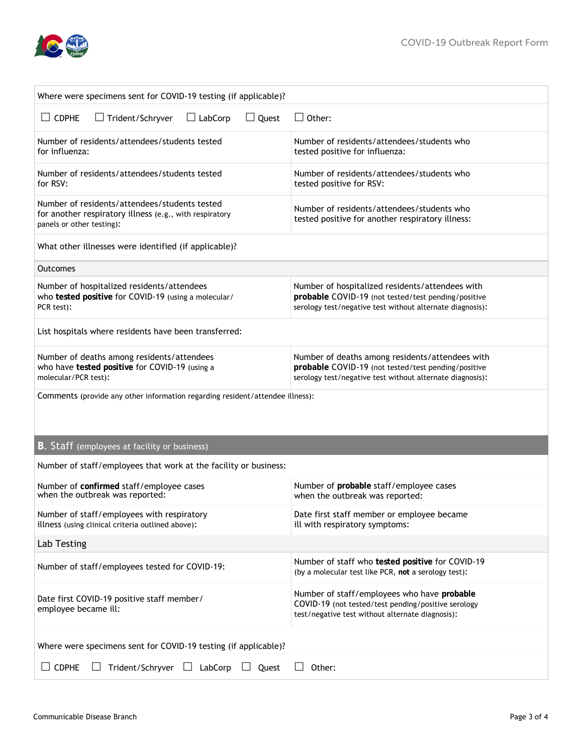

| Where were specimens sent for COVID-19 testing (if applicable)?                                                                       |                                                                                                                                                                     |  |
|---------------------------------------------------------------------------------------------------------------------------------------|---------------------------------------------------------------------------------------------------------------------------------------------------------------------|--|
| $\Box$ CDPHE<br>$\Box$ Quest<br>$\Box$ Trident/Schryver<br>$\Box$ LabCorp                                                             | $\Box$ Other:                                                                                                                                                       |  |
| Number of residents/attendees/students tested<br>for influenza:                                                                       | Number of residents/attendees/students who<br>tested positive for influenza:                                                                                        |  |
| Number of residents/attendees/students tested<br>for RSV:                                                                             | Number of residents/attendees/students who<br>tested positive for RSV:                                                                                              |  |
| Number of residents/attendees/students tested<br>for another respiratory illness (e.g., with respiratory<br>panels or other testing): | Number of residents/attendees/students who<br>tested positive for another respiratory illness:                                                                      |  |
| What other illnesses were identified (if applicable)?                                                                                 |                                                                                                                                                                     |  |
| <b>Outcomes</b>                                                                                                                       |                                                                                                                                                                     |  |
| Number of hospitalized residents/attendees<br>who tested positive for COVID-19 (using a molecular/<br>PCR test):                      | Number of hospitalized residents/attendees with<br>probable COVID-19 (not tested/test pending/positive<br>serology test/negative test without alternate diagnosis): |  |
| List hospitals where residents have been transferred:                                                                                 |                                                                                                                                                                     |  |
| Number of deaths among residents/attendees<br>who have tested positive for COVID-19 (using a<br>molecular/PCR test):                  | Number of deaths among residents/attendees with<br>probable COVID-19 (not tested/test pending/positive<br>serology test/negative test without alternate diagnosis): |  |
| Comments (provide any other information regarding resident/attendee illness):                                                         |                                                                                                                                                                     |  |
| B. Staff (employees at facility or business)                                                                                          |                                                                                                                                                                     |  |
| Number of staff/employees that work at the facility or business:                                                                      |                                                                                                                                                                     |  |
| Number of confirmed staff/employee cases<br>when the outbreak was reported:                                                           | Number of probable staff/employee cases<br>when the outbreak was reported:                                                                                          |  |
| Number of staff/employees with respiratory<br>illness (using clinical criteria outlined above):                                       | Date first staff member or employee became<br>ill with respiratory symptoms:                                                                                        |  |
| Lab Testing                                                                                                                           |                                                                                                                                                                     |  |
| Number of staff/employees tested for COVID-19:                                                                                        | Number of staff who tested positive for COVID-19<br>(by a molecular test like PCR, not a serology test):                                                            |  |
| Date first COVID-19 positive staff member/<br>employee became ill:                                                                    | Number of staff/employees who have probable<br>COVID-19 (not tested/test pending/positive serology<br>test/negative test without alternate diagnosis):              |  |
| Where were specimens sent for COVID-19 testing (if applicable)?                                                                       |                                                                                                                                                                     |  |
| $\Box$ CDPHE<br>Trident/Schryver $\Box$ LabCorp $\Box$ Quest<br>$\Box$                                                                | $\Box$ Other:                                                                                                                                                       |  |